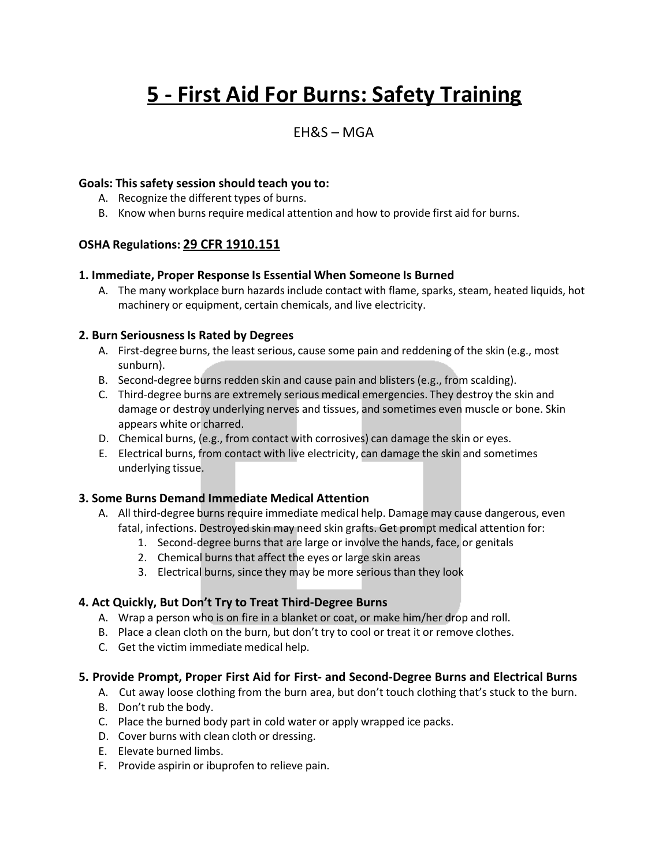# **5 - First Aid For Burns: Safety Training**

# $FHRS - MGA$

#### **Goals: This safety session should teach you to:**

- A. Recognize the different types of burns.
- B. Know when burns require medical attention and how to provide first aid for burns.

# **OSHA Regulations: 29 CFR 1910.151**

#### **1. Immediate, Proper Response Is Essential When Someone Is Burned**

A. The many workplace burn hazards include contact with flame, sparks, steam, heated liquids, hot machinery or equipment, certain chemicals, and live electricity.

#### **2. Burn SeriousnessIs Rated by Degrees**

- A. First-degree burns, the least serious, cause some pain and reddening of the skin (e.g., most sunburn).
- B. Second-degree burns redden skin and cause pain and blisters (e.g., from scalding).
- C. Third-degree burns are extremely serious medical emergencies. They destroy the skin and damage or destroy underlying nerves and tissues, and sometimes even muscle or bone. Skin appears white or charred.
- D. Chemical burns, (e.g., from contact with corrosives) can damage the skin or eyes.
- E. Electrical burns, from contact with live electricity, can damage the skin and sometimes underlying tissue.

# **3. Some Burns Demand Immediate Medical Attention**

- A. All third-degree burns require immediate medical help. Damage may cause dangerous, even fatal, infections. Destroyed skin may need skin grafts. Get prompt medical attention for:
	- 1. Second-degree burns that are large or involve the hands, face, or genitals
	- 2. Chemical burns that affect the eyes or large skin areas
	- 3. Electrical burns, since they may be more serious than they look

# **4. Act Quickly, But Don't Try to Treat Third-Degree Burns**

- A. Wrap a person who is on fire in a blanket or coat, or make him/her drop and roll.
- B. Place a clean cloth on the burn, but don't try to cool or treat it or remove clothes.
- C. Get the victim immediate medical help.

# **5. Provide Prompt, Proper First Aid for First- and Second-Degree Burns and Electrical Burns**

- A. Cut away loose clothing from the burn area, but don't touch clothing that's stuck to the burn.
- B. Don't rub the body.
- C. Place the burned body part in cold water or apply wrapped ice packs.
- D. Cover burns with clean cloth or dressing.
- E. Elevate burned limbs.
- F. Provide aspirin or ibuprofen to relieve pain.